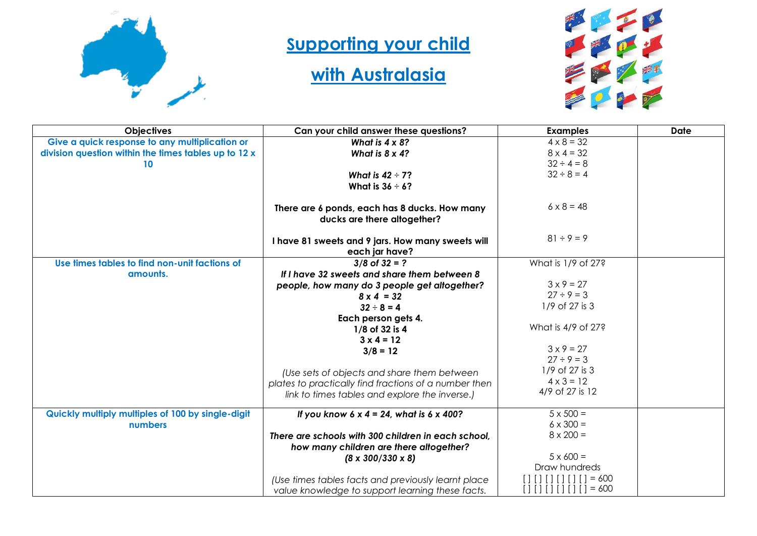

## **Supporting your child**

## **with Australasia**



| <b>Objectives</b>                                    | Can your child answer these questions?                                                                  | <b>Examples</b>                      | <b>Date</b> |
|------------------------------------------------------|---------------------------------------------------------------------------------------------------------|--------------------------------------|-------------|
| Give a quick response to any multiplication or       | What is $4 \times 8$ ?                                                                                  | $4 \times 8 = 32$                    |             |
| division question within the times tables up to 12 x | What is $8 \times 4$ ?                                                                                  | $8 \times 4 = 32$                    |             |
| 10                                                   |                                                                                                         | $32 \div 4 = 8$                      |             |
|                                                      | What is $42 \div 7$ ?                                                                                   | $32 \div 8 = 4$                      |             |
|                                                      | What is $36 \div 6?$                                                                                    |                                      |             |
|                                                      | There are 6 ponds, each has 8 ducks. How many<br>ducks are there altogether?                            | $6 \times 8 = 48$                    |             |
|                                                      | I have 81 sweets and 9 jars. How many sweets will<br>each jar have?                                     | $81 \div 9 = 9$                      |             |
| Use times tables to find non-unit factions of        | $3/8$ of $32 = ?$                                                                                       | What is 1/9 of 27?                   |             |
| amounts.                                             | If I have 32 sweets and share them between 8                                                            |                                      |             |
|                                                      | people, how many do 3 people get altogether?                                                            | $3 \times 9 = 27$                    |             |
|                                                      | $8 \times 4 = 32$                                                                                       | $27 \div 9 = 3$                      |             |
|                                                      | $32 \div 8 = 4$                                                                                         | 1/9 of 27 is 3                       |             |
|                                                      | Each person gets 4.                                                                                     |                                      |             |
|                                                      | 1/8 of 32 is 4                                                                                          | What is 4/9 of 27?                   |             |
|                                                      | $3 \times 4 = 12$                                                                                       |                                      |             |
|                                                      | $3/8 = 12$                                                                                              | $3 \times 9 = 27$                    |             |
|                                                      |                                                                                                         | $27 \div 9 = 3$                      |             |
|                                                      | (Use sets of objects and share them between                                                             | 1/9 of 27 is 3                       |             |
|                                                      | plates to practically find fractions of a number then                                                   | $4 \times 3 = 12$<br>4/9 of 27 is 12 |             |
|                                                      | link to times tables and explore the inverse.)                                                          |                                      |             |
| Quickly multiply multiples of 100 by single-digit    | If you know $6 \times 4 = 24$ , what is $6 \times 400$ ?                                                | $5 \times 500 =$                     |             |
| numbers                                              |                                                                                                         | $6 \times 300 =$                     |             |
|                                                      | There are schools with 300 children in each school,                                                     | $8 \times 200 =$                     |             |
|                                                      | how many children are there altogether?                                                                 |                                      |             |
|                                                      | $(8 \times 300/330 \times 8)$                                                                           | $5 \times 600 =$                     |             |
|                                                      |                                                                                                         | Draw hundreds                        |             |
|                                                      | (Use times tables facts and previously learnt place<br>value knowledge to support learning these facts. | $= 600$<br>$= 600$<br>$\Box$         |             |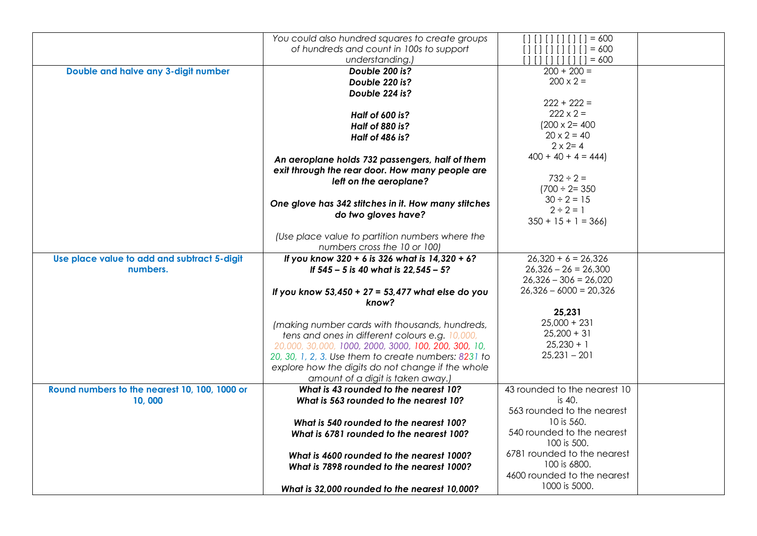|                                               | You could also hundred squares to create groups      | $[ ] [ ] [ ] [ ] [ ] = 600$  |  |
|-----------------------------------------------|------------------------------------------------------|------------------------------|--|
|                                               | of hundreds and count in 100s to support             | $[ ] [ ] [ ] [ ] [ ] = 600$  |  |
|                                               | understanding.)                                      | [ 1 1 1 1 1 1 11 11]         |  |
| Double and halve any 3-digit number           | Double 200 is?                                       | $200 + 200 =$                |  |
|                                               | Double 220 is?                                       | $200 \times 2 =$             |  |
|                                               | Double 224 is?                                       |                              |  |
|                                               |                                                      | $222 + 222 =$                |  |
|                                               |                                                      | $222 \times 2 =$             |  |
|                                               | <b>Half of 600 is?</b>                               | $(200 \times 2 = 400)$       |  |
|                                               | <b>Half of 880 is?</b>                               | $20 \times 2 = 40$           |  |
|                                               | <b>Half of 486 is?</b>                               | $2 \times 2 = 4$             |  |
|                                               |                                                      | $400 + 40 + 4 = 444$         |  |
|                                               | An aeroplane holds 732 passengers, half of them      |                              |  |
|                                               | exit through the rear door. How many people are      |                              |  |
|                                               | left on the aeroplane?                               | $732 \div 2 =$               |  |
|                                               |                                                      | $(700 \div 2 = 350)$         |  |
|                                               | One glove has 342 stitches in it. How many stitches  | $30 \div 2 = 15$             |  |
|                                               | do two gloves have?                                  | $2 \div 2 = 1$               |  |
|                                               |                                                      | $350 + 15 + 1 = 366$         |  |
|                                               | (Use place value to partition numbers where the      |                              |  |
|                                               | numbers cross the 10 or 100)                         |                              |  |
| Use place value to add and subtract 5-digit   | If you know 320 + 6 is 326 what is 14,320 + 6?       | $26,320 + 6 = 26,326$        |  |
| numbers.                                      | If 545 - 5 is 40 what is 22,545 - 5?                 | $26,326 - 26 = 26,300$       |  |
|                                               |                                                      | $26,326 - 306 = 26,020$      |  |
|                                               | If you know $53,450 + 27 = 53,477$ what else do you  | $26,326 - 6000 = 20,326$     |  |
|                                               | know?                                                |                              |  |
|                                               |                                                      | 25,231                       |  |
|                                               | (making number cards with thousands, hundreds,       | $25,000 + 231$               |  |
|                                               | tens and ones in different colours e.g. 10,000,      | $25,200 + 31$                |  |
|                                               | 20,000, 30,000, 1000, 2000, 3000, 100, 200, 300, 10, | $25,230 + 1$                 |  |
|                                               | 20, 30, 1, 2, 3. Use them to create numbers: 8231 to | $25,231 - 201$               |  |
|                                               | explore how the digits do not change if the whole    |                              |  |
|                                               | amount of a digit is taken away.)                    |                              |  |
| Round numbers to the nearest 10, 100, 1000 or | What is 43 rounded to the nearest 10?                | 43 rounded to the nearest 10 |  |
| 10,000                                        | What is 563 rounded to the nearest 10?               | is 40.                       |  |
|                                               |                                                      | 563 rounded to the nearest   |  |
|                                               | What is 540 rounded to the nearest 100?              | $10$ is 560.                 |  |
|                                               | What is 6781 rounded to the nearest 100?             | 540 rounded to the nearest   |  |
|                                               |                                                      | 100 is 500.                  |  |
|                                               | What is 4600 rounded to the nearest 1000?            | 6781 rounded to the nearest  |  |
|                                               | What is 7898 rounded to the nearest 1000?            | 100 is 6800.                 |  |
|                                               |                                                      | 4600 rounded to the nearest  |  |
|                                               | What is 32,000 rounded to the nearest 10,000?        | 1000 is 5000.                |  |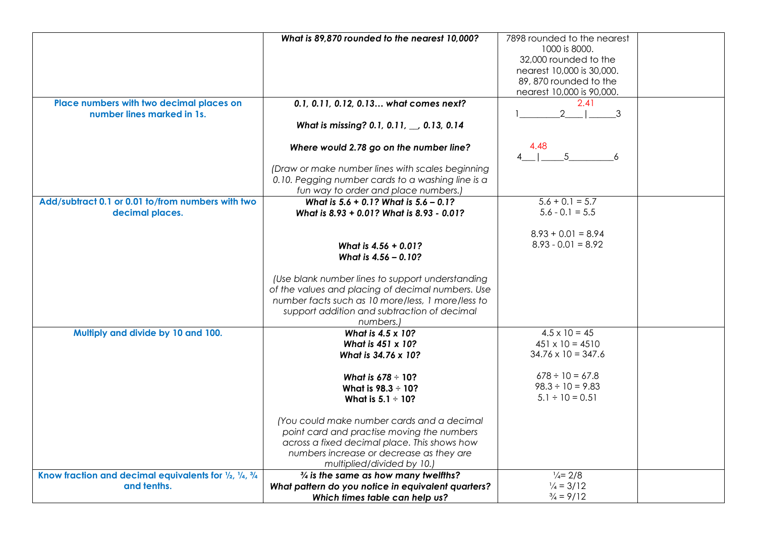|                                                         | What is 89,870 rounded to the nearest 10,000?      | 7898 rounded to the nearest |  |
|---------------------------------------------------------|----------------------------------------------------|-----------------------------|--|
|                                                         |                                                    | 1000 is 8000.               |  |
|                                                         |                                                    | 32,000 rounded to the       |  |
|                                                         |                                                    | nearest 10,000 is 30,000.   |  |
|                                                         |                                                    | 89, 870 rounded to the      |  |
|                                                         |                                                    |                             |  |
|                                                         |                                                    | nearest 10,000 is 90,000.   |  |
| Place numbers with two decimal places on                | 0.1, 0.11, 0.12, 0.13 what comes next?             | 2.41                        |  |
| number lines marked in 1s.                              |                                                    | 2<br>3                      |  |
|                                                         | What is missing? 0.1, 0.11, __, 0.13, 0.14         |                             |  |
|                                                         | Where would 2.78 go on the number line?            | 4.48                        |  |
|                                                         |                                                    | -5<br>6                     |  |
|                                                         | (Draw or make number lines with scales beginning   |                             |  |
|                                                         | 0.10. Pegging number cards to a washing line is a  |                             |  |
|                                                         | fun way to order and place numbers.)               |                             |  |
| Add/subtract 0.1 or 0.01 to/from numbers with two       | What is 5.6 + 0.1? What is 5.6 - 0.1?              | $5.6 + 0.1 = 5.7$           |  |
| decimal places.                                         | What is 8.93 + 0.01? What is 8.93 - 0.01?          | $5.6 - 0.1 = 5.5$           |  |
|                                                         |                                                    |                             |  |
|                                                         |                                                    | $8.93 + 0.01 = 8.94$        |  |
|                                                         |                                                    | $8.93 - 0.01 = 8.92$        |  |
|                                                         | What is 4.56 + 0.01?                               |                             |  |
|                                                         | What is 4.56 - 0.10?                               |                             |  |
|                                                         | (Use blank number lines to support understanding   |                             |  |
|                                                         | of the values and placing of decimal numbers. Use  |                             |  |
|                                                         | number facts such as 10 more/less, 1 more/less to  |                             |  |
|                                                         |                                                    |                             |  |
|                                                         | support addition and subtraction of decimal        |                             |  |
|                                                         | numbers.)                                          |                             |  |
| Multiply and divide by 10 and 100.                      | What is 4.5 x 10?                                  | $4.5 \times 10 = 45$        |  |
|                                                         | What is 451 x 10?                                  | $451 \times 10 = 4510$      |  |
|                                                         | What is 34.76 x 10?                                | $34.76 \times 10 = 347.6$   |  |
|                                                         | What is $678 \div 10?$                             | $678 \div 10 = 67.8$        |  |
|                                                         | What is $98.3 \div 10?$                            | $98.3 \div 10 = 9.83$       |  |
|                                                         |                                                    | $5.1 \div 10 = 0.51$        |  |
|                                                         | What is $5.1 \div 10?$                             |                             |  |
|                                                         | (You could make number cards and a decimal         |                             |  |
|                                                         | point card and practise moving the numbers         |                             |  |
|                                                         | across a fixed decimal place. This shows how       |                             |  |
|                                                         | numbers increase or decrease as they are           |                             |  |
|                                                         | multiplied/divided by 10.)                         |                             |  |
| Know fraction and decimal equivalents for 1/2, 1/4, 3/4 | $\frac{3}{4}$ is the same as how many twelfths?    | $\frac{1}{4}$ = 2/8         |  |
| and tenths.                                             | What pattern do you notice in equivalent quarters? | $\frac{1}{4}$ = 3/12        |  |
|                                                         |                                                    | $\frac{3}{4}$ = 9/12        |  |
|                                                         | Which times table can help us?                     |                             |  |